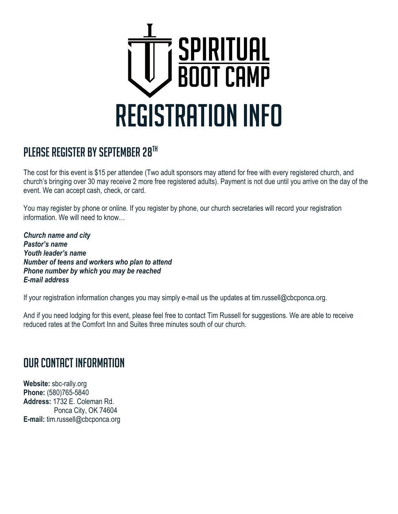

# PLEASE REGISTER BY SEPTEMBER 28TH

The cost for this event is \$15 per attendee (Two adult sponsors may attend for free with every registered church, and church's bringing over 30 may receive 2 more free registered adults). Payment is not due until you arrive on the day of the event. We can accept cash, check, or card.

You may register by phone or online. If you register by phone, our church secretaries will record your registration information. We will need to know…

*Church name and city Pastor's name Youth leader's name Number of teens and workers who plan to attend Phone number by which you may be reached E-mail address*

If your registration information changes you may simply e-mail us the updates at tim.russell@cbcponca.org.

And if you need lodging for this event, please feel free to contact Tim Russell for suggestions. We are able to receive reduced rates at the Comfort Inn and Suites three minutes south of our church.

#### Our contact information

**Website:** sbc-rally.org **Phone:** (580)765-5840 **Address:** 1732 E. Coleman Rd. Ponca City, OK 74604 **E-mail:** tim.russell@cbcponca.org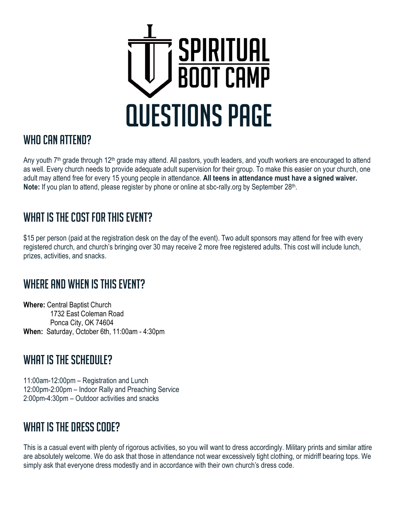

#### WHO CAN ATTEND?

Any youth 7<sup>th</sup> grade through 12<sup>th</sup> grade may attend. All pastors, youth leaders, and youth workers are encouraged to attend as well. Every church needs to provide adequate adult supervision for their group. To make this easier on your church, one adult may attend free for every 15 young people in attendance. **All teens in attendance must have a signed waiver.**  Note: If you plan to attend, please register by phone or online at sbc-rally org by September 28<sup>th</sup>.

# WHAT IS THE COST FOR THIS EVENT?

\$15 per person (paid at the registration desk on the day of the event). Two adult sponsors may attend for free with every registered church, and church's bringing over 30 may receive 2 more free registered adults. This cost will include lunch, prizes, activities, and snacks.

# WHERE AND WHEN IS THIS EVENT?

**Where:** Central Baptist Church 1732 East Coleman Road Ponca City, OK 74604 **When:** Saturday, October 6th, 11:00am - 4:30pm

# WHAT IS THE SCHEDULE?

11:00am-12:00pm – Registration and Lunch 12:00pm-2:00pm – Indoor Rally and Preaching Service 2:00pm-4:30pm – Outdoor activities and snacks

#### WHAT IS THE DRESS CODE?

This is a casual event with plenty of rigorous activities, so you will want to dress accordingly. Military prints and similar attire are absolutely welcome. We do ask that those in attendance not wear excessively tight clothing, or midriff bearing tops. We simply ask that everyone dress modestly and in accordance with their own church's dress code.